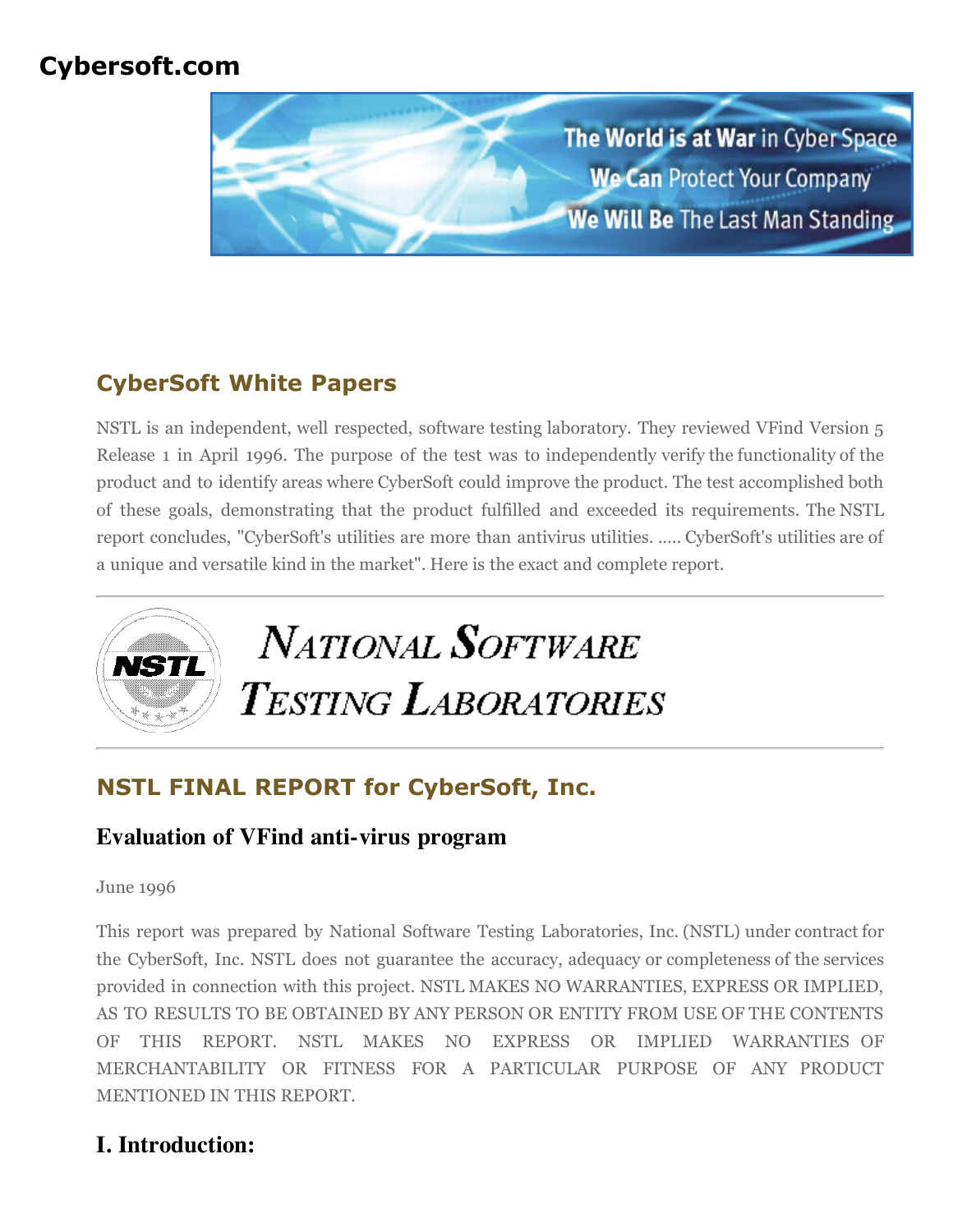# **Cybersoft.com**



# **CyberSoft White Papers**

NSTL is an independent, well respected, software testing laboratory. They reviewed VFind Version 5 Release 1 in April 1996. The purpose of the test was to independently verify the functionality of the product and to identify areas where CyberSoft could improve the product. The test accomplished both of these goals, demonstrating that the product fulfilled and exceeded its requirements. The NSTL report concludes, "CyberSoft's utilities are more than antivirus utilities. ..... CyberSoft's utilities are of a unique and versatile kind in the market". Here is the exact and complete report.



# **NSTL FINAL REPORT for CyberSoft, Inc.**

### **Evaluation of VFind anti-virus program**

#### June 1996

This report was prepared by National Software Testing Laboratories, Inc. (NSTL) under contract for the CyberSoft, Inc. NSTL does not guarantee the accuracy, adequacy or completeness of the services provided in connection with this project. NSTL MAKES NO WARRANTIES, EXPRESS OR IMPLIED, AS TO RESULTS TO BE OBTAINED BY ANY PERSON OR ENTITY FROM USE OF THE CONTENTS OF THIS REPORT. NSTL MAKES NO EXPRESS OR IMPLIED WARRANTIES OF MERCHANTABILITY OR FITNESS FOR A PARTICULAR PURPOSE OF ANY PRODUCT MENTIONED IN THIS REPORT.

## **I. Introduction:**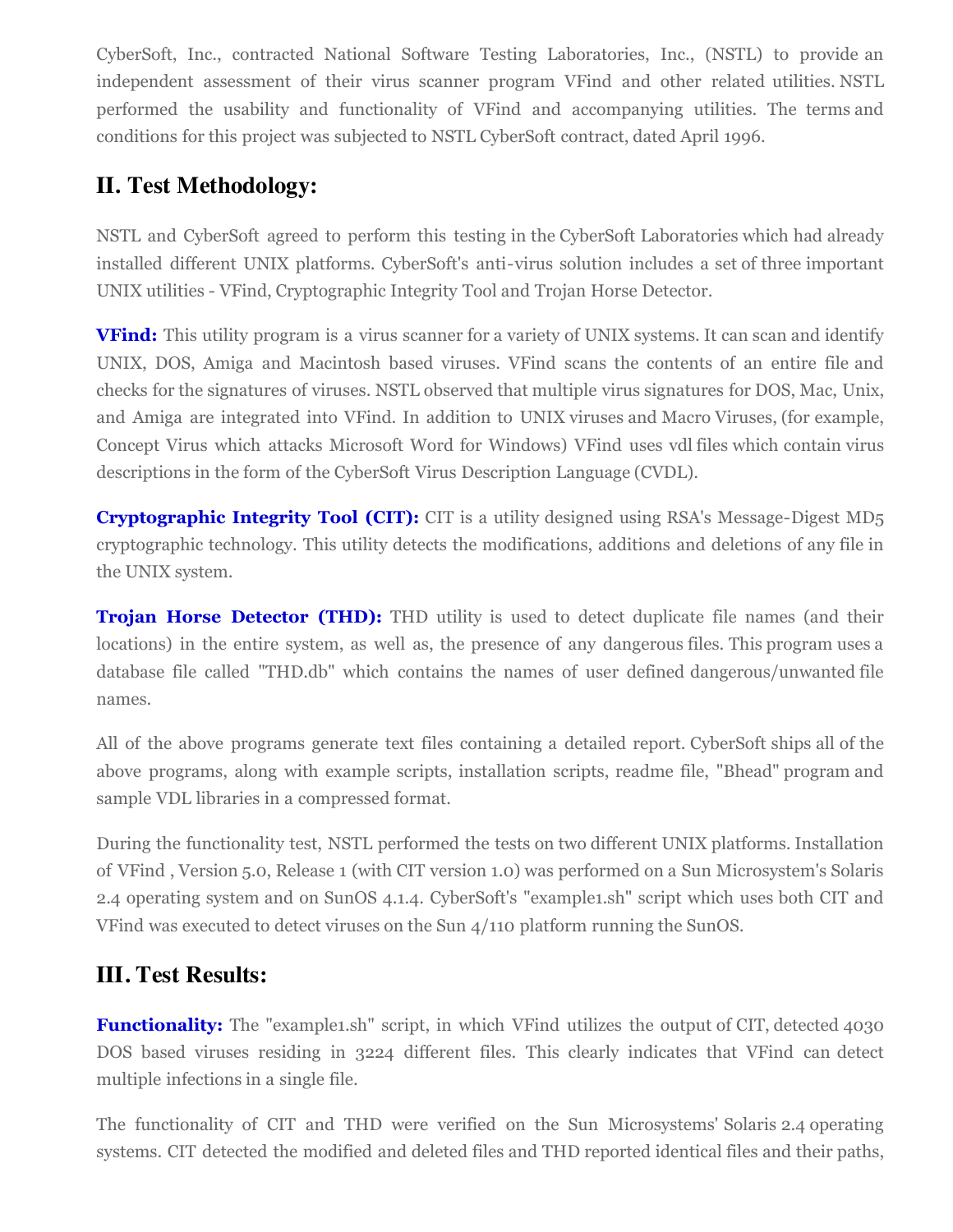CyberSoft, Inc., contracted National Software Testing Laboratories, Inc., (NSTL) to provide an independent assessment of their virus scanner program VFind and other related utilities. NSTL performed the usability and functionality of VFind and accompanying utilities. The terms and conditions for this project was subjected to NSTL CyberSoft contract, dated April 1996.

## **II. Test Methodology:**

NSTL and CyberSoft agreed to perform this testing in the CyberSoft Laboratories which had already installed different UNIX platforms. CyberSoft's anti-virus solution includes a set of three important UNIX utilities - VFind, Cryptographic Integrity Tool and Trojan Horse Detector.

**VFind:** This utility program is a virus scanner for a variety of UNIX systems. It can scan and identify UNIX, DOS, Amiga and Macintosh based viruses. VFind scans the contents of an entire file and checks for the signatures of viruses. NSTL observed that multiple virus signatures for DOS, Mac, Unix, and Amiga are integrated into VFind. In addition to UNIX viruses and Macro Viruses, (for example, Concept Virus which attacks Microsoft Word for Windows) VFind uses vdl files which contain virus descriptions in the form of the CyberSoft Virus Description Language (CVDL).

**Cryptographic Integrity Tool (CIT):** CIT is a utility designed using RSA's Message-Digest MD<sub>5</sub> cryptographic technology. This utility detects the modifications, additions and deletions of any file in the UNIX system.

**Trojan Horse Detector (THD):** THD utility is used to detect duplicate file names (and their locations) in the entire system, as well as, the presence of any dangerous files. This program uses a database file called "THD.db" which contains the names of user defined dangerous/unwanted file names.

All of the above programs generate text files containing a detailed report. CyberSoft ships all of the above programs, along with example scripts, installation scripts, readme file, "Bhead" program and sample VDL libraries in a compressed format.

During the functionality test, NSTL performed the tests on two different UNIX platforms. Installation of VFind , Version 5.0, Release 1 (with CIT version 1.0) was performed on a Sun Microsystem's Solaris 2.4 operating system and on SunOS 4.1.4. CyberSoft's "example1.sh" script which uses both CIT and VFind was executed to detect viruses on the Sun 4/110 platform running the SunOS.

### **III. Test Results:**

**Functionality:** The "example1.sh" script, in which VFind utilizes the output of CIT, detected 4030 DOS based viruses residing in 3224 different files. This clearly indicates that VFind can detect multiple infections in a single file.

The functionality of CIT and THD were verified on the Sun Microsystems' Solaris 2.4 operating systems. CIT detected the modified and deleted files and THD reported identical files and their paths,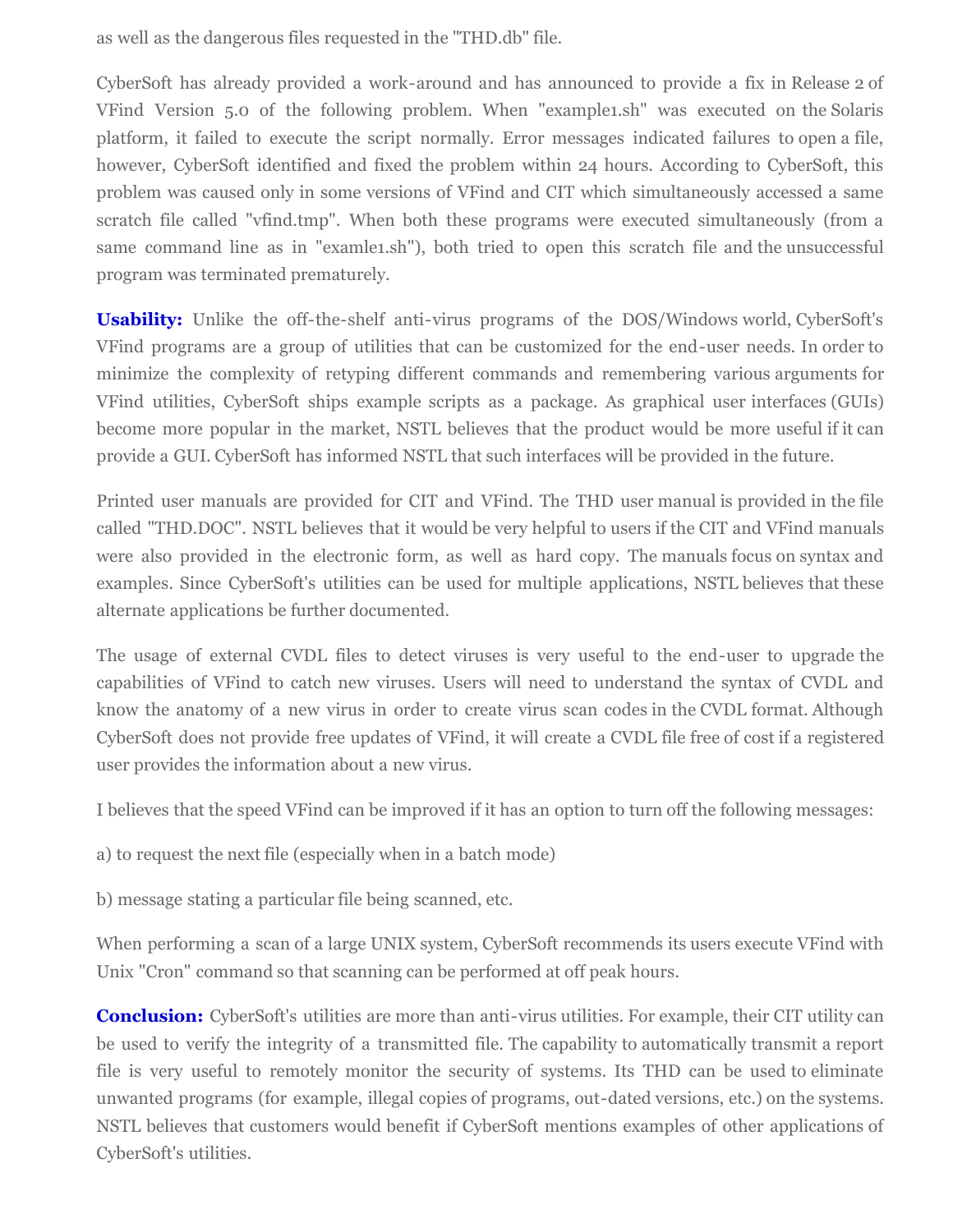as well as the dangerous files requested in the "THD.db" file.

CyberSoft has already provided a work-around and has announced to provide a fix in Release 2 of VFind Version 5.0 of the following problem. When "example1.sh" was executed on the Solaris platform, it failed to execute the script normally. Error messages indicated failures to open a file, however, CyberSoft identified and fixed the problem within 24 hours. According to CyberSoft, this problem was caused only in some versions of VFind and CIT which simultaneously accessed a same scratch file called "vfind.tmp". When both these programs were executed simultaneously (from a same command line as in "examle1.sh"), both tried to open this scratch file and the unsuccessful program was terminated prematurely.

**Usability:** Unlike the off-the-shelf anti-virus programs of the DOS/Windows world, CyberSoft's VFind programs are a group of utilities that can be customized for the end-user needs. In order to minimize the complexity of retyping different commands and remembering various arguments for VFind utilities, CyberSoft ships example scripts as a package. As graphical user interfaces (GUIs) become more popular in the market, NSTL believes that the product would be more useful if it can provide a GUI. CyberSoft has informed NSTL that such interfaces will be provided in the future.

Printed user manuals are provided for CIT and VFind. The THD user manual is provided in the file called "THD.DOC". NSTL believes that it would be very helpful to users if the CIT and VFind manuals were also provided in the electronic form, as well as hard copy. The manuals focus on syntax and examples. Since CyberSoft's utilities can be used for multiple applications, NSTL believes that these alternate applications be further documented.

The usage of external CVDL files to detect viruses is very useful to the end-user to upgrade the capabilities of VFind to catch new viruses. Users will need to understand the syntax of CVDL and know the anatomy of a new virus in order to create virus scan codes in the CVDL format. Although CyberSoft does not provide free updates of VFind, it will create a CVDL file free of cost if a registered user provides the information about a new virus.

I believes that the speed VFind can be improved if it has an option to turn off the following messages:

a) to request the next file (especially when in a batch mode)

b) message stating a particular file being scanned, etc.

When performing a scan of a large UNIX system, CyberSoft recommends its users execute VFind with Unix "Cron" command so that scanning can be performed at off peak hours.

**Conclusion:** CyberSoft's utilities are more than anti-virus utilities. For example, their CIT utility can be used to verify the integrity of a transmitted file. The capability to automatically transmit a report file is very useful to remotely monitor the security of systems. Its THD can be used to eliminate unwanted programs (for example, illegal copies of programs, out-dated versions, etc.) on the systems. NSTL believes that customers would benefit if CyberSoft mentions examples of other applications of CyberSoft's utilities.